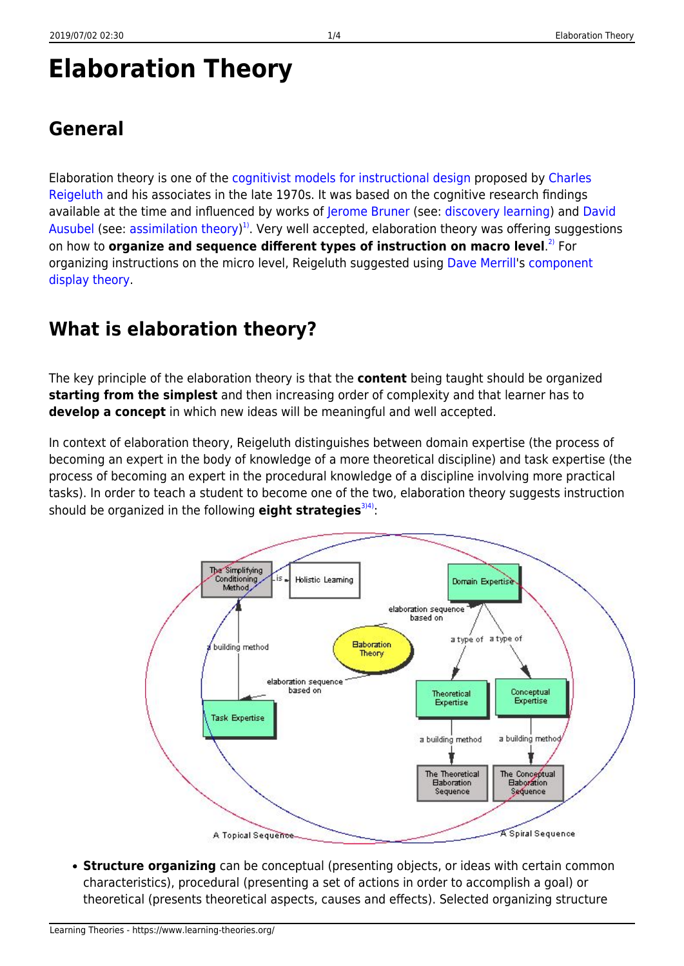# **Elaboration Theory**

Elaboration theory is one of the [cognitivist models for instructional design](https://www.learning-theories.org/doku.php?id=learning_paradigms:cognitivism) proposed by [Charles](http://www.indiana.edu/~syschang/decatur/bios/biographies.html) [Reigeluth](http://www.indiana.edu/~syschang/decatur/bios/biographies.html) and his associates in the late 1970s. It was based on the cognitive research findings available at the time and influenced by works of [Jerome Bruner](http://www.psych.nyu.edu/bruner/) (see: [discovery learning\)](https://www.learning-theories.org/doku.php?id=instructional_design:discovery_learning) and [David](http://www.davidausubel.org/) [Ausubel](http://www.davidausubel.org/) (see: [assimilation theory\)](https://www.learning-theories.org/doku.php?id=learning_theories:assimilation_theory)<sup>[1\)](#page--1-0)</sup>. Very well accepted, elaboration theory was offering suggestions on how to **organize and sequence different types of instruction on macro level**. [2\)](#page--1-0) For organizing instructions on the micro level, Reigeluth suggested using [Dave Merrill](http://mdavidmerrill.com/index.htm)'s [component](https://www.learning-theories.org/doku.php?id=instructional_design:component_display_theory) [display theory](https://www.learning-theories.org/doku.php?id=instructional_design:component_display_theory).

### **What is elaboration theory?**

The key principle of the elaboration theory is that the **content** being taught should be organized **starting from the simplest** and then increasing order of complexity and that learner has to **develop a concept** in which new ideas will be meaningful and well accepted.

In context of elaboration theory, Reigeluth distinguishes between domain expertise (the process of becoming an expert in the body of knowledge of a more theoretical discipline) and task expertise (the process of becoming an expert in the procedural knowledge of a discipline involving more practical tasks). In order to teach a student to become one of the two, elaboration theory suggests instruction should be organized in the following **eight strategies**<sup>314)</sup>:



**Structure organizing** can be conceptual (presenting objects, or ideas with certain common characteristics), procedural (presenting a set of actions in order to accomplish a goal) or theoretical (presents theoretical aspects, causes and effects). Selected organizing structure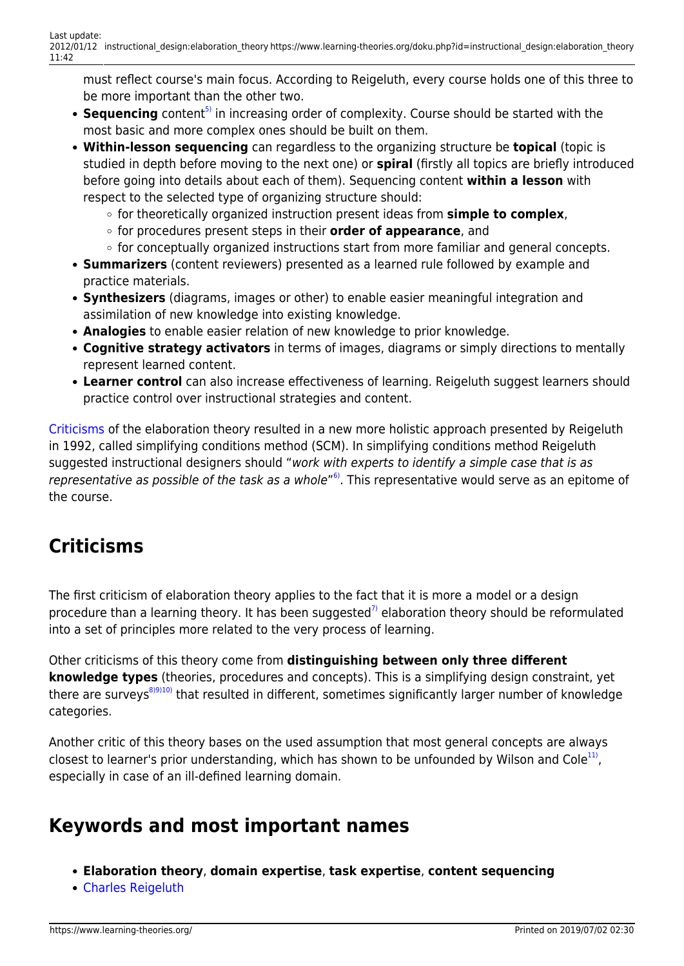must reflect course's main focus. According to Reigeluth, every course holds one of this three to be more important than the other two.

- Sequencing content<sup>[5\)](#page--1-0)</sup> in increasing order of complexity. Course should be started with the most basic and more complex ones should be built on them.
- **Within-lesson sequencing** can regardless to the organizing structure be **topical** (topic is studied in depth before moving to the next one) or **spiral** (firstly all topics are briefly introduced before going into details about each of them). Sequencing content **within a lesson** with respect to the selected type of organizing structure should:
	- for theoretically organized instruction present ideas from **simple to complex**,
	- for procedures present steps in their **order of appearance**, and
	- $\circ$  for conceptually organized instructions start from more familiar and general concepts.
- **Summarizers** (content reviewers) presented as a learned rule followed by example and practice materials.
- **Synthesizers** (diagrams, images or other) to enable easier meaningful integration and assimilation of new knowledge into existing knowledge.
- **Analogies** to enable easier relation of new knowledge to prior knowledge.
- **Cognitive strategy activators** in terms of images, diagrams or simply directions to mentally represent learned content.
- **Learner control** can also increase effectiveness of learning. Reigeluth suggest learners should practice control over instructional strategies and content.

[Criticisms](#page-1-0) of the elaboration theory resulted in a new more holistic approach presented by Reigeluth in 1992, called simplifying conditions method (SCM). In simplifying conditions method Reigeluth suggested instructional designers should "work with experts to identify a simple case that is as representative as possible of the task as a whole"<sup>6</sup>. This representative would serve as an epitome of the course.

## <span id="page-1-0"></span>**Criticisms**

The first criticism of elaboration theory applies to the fact that it is more a model or a design procedure than a learning theory. It has been suggested<sup>[7\)](#page--1-0)</sup> elaboration theory should be reformulated into a set of principles more related to the very process of learning.

Other criticisms of this theory come from **distinguishing between only three different knowledge types** (theories, procedures and concepts). This is a simplifying design constraint, yet there are surveys<sup>[8\)9\)10\)](#page--1-0)</sup> that resulted in different, sometimes significantly larger number of knowledge categories.

Another critic of this theory bases on the used assumption that most general concepts are always closest to learner's prior understanding, which has shown to be unfounded by Wilson and Cole<sup>11</sup>, especially in case of an ill-defined learning domain.

#### **Keywords and most important names**

- **Elaboration theory**, **domain expertise**, **task expertise**, **content sequencing**
- [Charles Reigeluth](http://www.indiana.edu/~syschang/decatur/bios/biographies.html)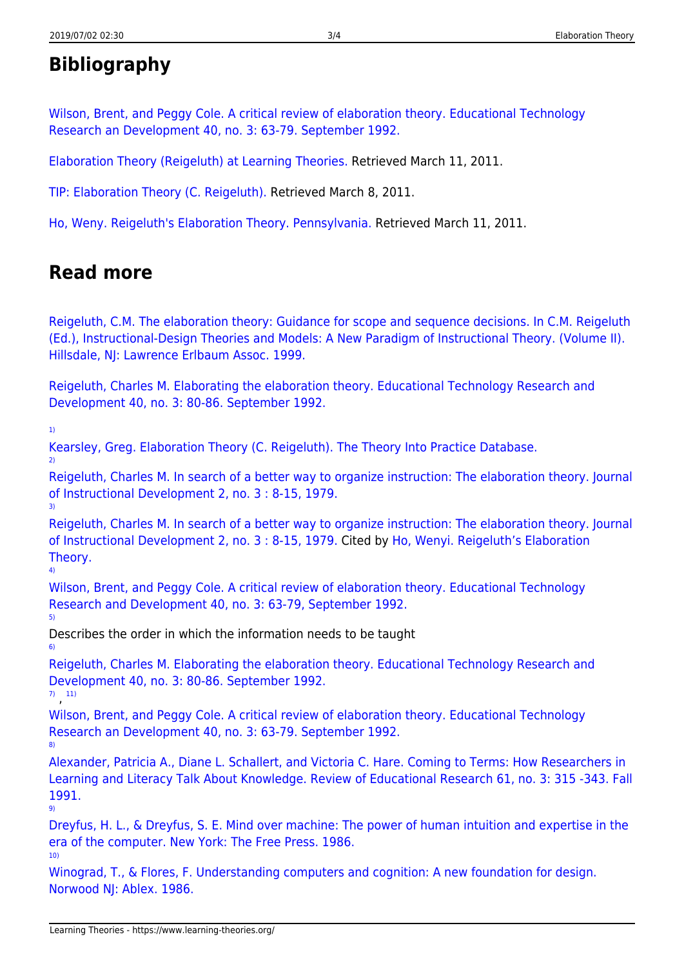## **Bibliography**

[Wilson, Brent, and Peggy Cole. A critical review of elaboration theory. Educational Technology](http://carbon.ucdenver.edu/~bwilson/elab.html) [Research an Development 40, no. 3: 63-79. September 1992.](http://carbon.ucdenver.edu/~bwilson/elab.html)

[Elaboration Theory \(Reigeluth\) at Learning Theories.](http://www.learning-theories.com/elaboration-theory-reigeluth.html) Retrieved March 11, 2011.

[TIP: Elaboration Theory \(C. Reigeluth\).](http://tip.psychology.org/reigelut.html) Retrieved March 8, 2011.

[Ho, Weny. Reigeluth's Elaboration Theory. Pennsylvania.](http://www.personal.psu.edu/wxh139/Elaborate.htm) Retrieved March 11, 2011.

## **Read more**

[Reigeluth, C.M. The elaboration theory: Guidance for scope and sequence decisions. In C.M. Reigeluth](http://books.google.hr/books?id=AbJc4Kg6XQoC&printsec=frontcover&dq=Instructional-design+theories+and+models&hl=hr&ei=xpTKTeuXBYWCOvWu0M8H&sa=X&oi=book_result&ct=result&resnum=1&ved=0CDkQ6AEwAA#v=onepage&q&f=false) [\(Ed.\), Instructional-Design Theories and Models: A New Paradigm of Instructional Theory. \(Volume II\).](http://books.google.hr/books?id=AbJc4Kg6XQoC&printsec=frontcover&dq=Instructional-design+theories+and+models&hl=hr&ei=xpTKTeuXBYWCOvWu0M8H&sa=X&oi=book_result&ct=result&resnum=1&ved=0CDkQ6AEwAA#v=onepage&q&f=false) [Hillsdale, NJ: Lawrence Erlbaum Assoc. 1999.](http://books.google.hr/books?id=AbJc4Kg6XQoC&printsec=frontcover&dq=Instructional-design+theories+and+models&hl=hr&ei=xpTKTeuXBYWCOvWu0M8H&sa=X&oi=book_result&ct=result&resnum=1&ved=0CDkQ6AEwAA#v=onepage&q&f=false)

[Reigeluth, Charles M. Elaborating the elaboration theory. Educational Technology Research and](http://www.springerlink.com/content/5767wv8842k78q2g/) [Development 40, no. 3: 80-86. September 1992.](http://www.springerlink.com/content/5767wv8842k78q2g/)

[1\)](#page--1-0)

[9\)](#page--1-0)

[Kearsley, Greg. Elaboration Theory \(C. Reigeluth\). The Theory Into Practice Database.](http://tip.psychology.org/reigelut.html) [2\)](#page--1-0) [Reigeluth, Charles M. In search of a better way to organize instruction: The elaboration theory. Journal](http://www.springerlink.com/content/m9380ql6k1107801/) [of Instructional Development 2, no. 3 : 8-15, 1979.](http://www.springerlink.com/content/m9380ql6k1107801/) [3\)](#page--1-0) [Reigeluth, Charles M. In search of a better way to organize instruction: The elaboration theory. Journal](http://www.springerlink.com/content/m9380ql6k1107801/) [of Instructional Development 2, no. 3 : 8-15, 1979.](http://www.springerlink.com/content/m9380ql6k1107801/) Cited by [Ho, Wenyi. Reigeluth's Elaboration](http://www.personal.psu.edu/wxh139/Elaborate.htm) [Theory.](http://www.personal.psu.edu/wxh139/Elaborate.htm) [4\)](#page--1-0) [Wilson, Brent, and Peggy Cole. A critical review of elaboration theory. Educational Technology](http://www.eric.ed.gov/ERICWebPortal/detail?accno=ED348040) [Research and Development 40, no. 3: 63-79, September 1992.](http://www.eric.ed.gov/ERICWebPortal/detail?accno=ED348040) [5\)](#page--1-0) Describes the order in which the information needs to be taught [6\)](#page--1-0) [Reigeluth, Charles M. Elaborating the elaboration theory. Educational Technology Research and](http://www.springerlink.com/content/5767wv8842k78q2g/) [Development 40, no. 3: 80-86. September 1992.](http://www.springerlink.com/content/5767wv8842k78q2g/) [7\)](#page--1-0) , [11\)](#page--1-0) [Wilson, Brent, and Peggy Cole. A critical review of elaboration theory. Educational Technology](http://carbon.ucdenver.edu/~bwilson/elab.html) [Research an Development 40, no. 3: 63-79. September 1992.](http://carbon.ucdenver.edu/~bwilson/elab.html) [8\)](#page--1-0)

[Alexander, Patricia A., Diane L. Schallert, and Victoria C. Hare. Coming to Terms: How Researchers in](http://rer.sagepub.com/content/61/3/315.abstract) [Learning and Literacy Talk About Knowledge. Review of Educational Research 61, no. 3: 315 -343. Fall](http://rer.sagepub.com/content/61/3/315.abstract) [1991.](http://rer.sagepub.com/content/61/3/315.abstract)

[Dreyfus, H. L., & Dreyfus, S. E. Mind over machine: The power of human intuition and expertise in the](http://books.google.hr/books?id=GHc-AQAAIAAJ&q=Mind+over+machine:+The+power+of+human+intuition+and+expertise+in+the+era+of+the+computer&dq=Mind+over+machine:+The+power+of+human+intuition+and+expertise+in+the+era+of+the+computer&hl=hr&ei=hTN2TeWDEofZsgbgyqiUBQ&sa=X&oi=book_result&ct=result&resnum=1&ved=0CCcQ6AEwAA) [era of the computer. New York: The Free Press. 1986.](http://books.google.hr/books?id=GHc-AQAAIAAJ&q=Mind+over+machine:+The+power+of+human+intuition+and+expertise+in+the+era+of+the+computer&dq=Mind+over+machine:+The+power+of+human+intuition+and+expertise+in+the+era+of+the+computer&hl=hr&ei=hTN2TeWDEofZsgbgyqiUBQ&sa=X&oi=book_result&ct=result&resnum=1&ved=0CCcQ6AEwAA) [10\)](#page--1-0)

[Winograd, T., & Flores, F. Understanding computers and cognition: A new foundation for design.](http://books.google.hr/books?id=2sRC8vcDYNEC&printsec=frontcover&dq=Understanding+computers+and+cognition:+A+new+foundation+for+design&hl=hr&ei=9zN2TcPeLs_1sgbL-NyDBQ&sa=X&oi=book_result&ct=result&resnum=1&ved=0CCcQ6AEwAA#v=onepage&q&f=false) [Norwood NJ: Ablex. 1986.](http://books.google.hr/books?id=2sRC8vcDYNEC&printsec=frontcover&dq=Understanding+computers+and+cognition:+A+new+foundation+for+design&hl=hr&ei=9zN2TcPeLs_1sgbL-NyDBQ&sa=X&oi=book_result&ct=result&resnum=1&ved=0CCcQ6AEwAA#v=onepage&q&f=false)